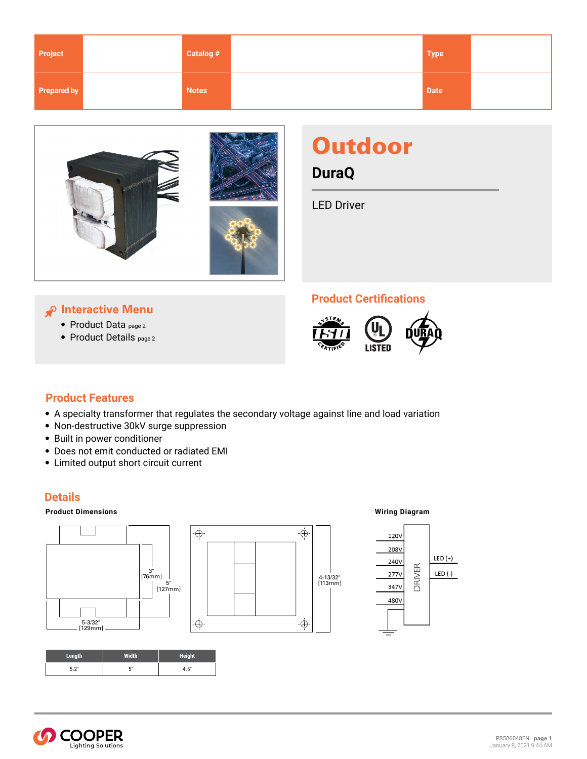| Project            | Catalog #    | <b>Type</b> |  |
|--------------------|--------------|-------------|--|
| <b>Prepared by</b> | <b>Notes</b> | <b>Date</b> |  |



# **Outdoor**

**DuraQ**

LED Driver

# **Interactive Menu**

- [Product Data](#page-1-0) page 2
- [Product Details](#page-1-0) page 2

# **Product Certifications**



# **Product Features**

• A specialty transformer that regulates the secondary voltage against line and load variation

∙Ġ

 $\cdot \oplus$ 

- Non-destructive 30kV surge suppression
- Built in power conditioner
- Does not emit conducted or radiated EMI
- Limited output short circuit current

# **Details**

### **Product Dimensions Wiring Diagram**



| Length      | Thinh.  | <b>Height</b> |
|-------------|---------|---------------|
| <b>E</b> 2" | 5"<br>ν | 4.5"          |